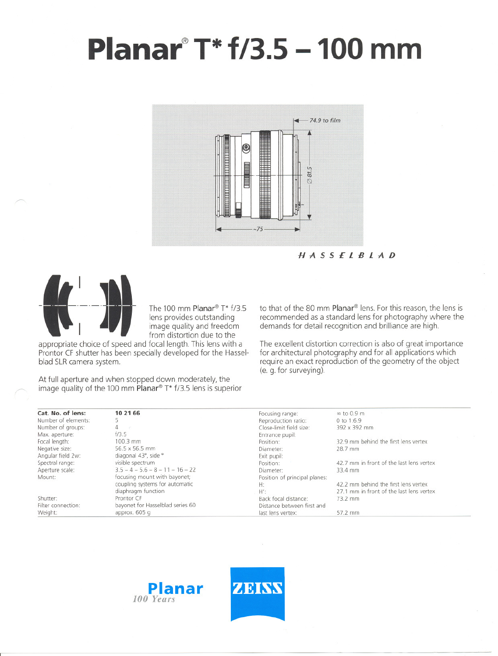## **Planar@T\*f/3.5 -100 mm**



HASSElBlAD



The 100 mm Planar® T\*  $f/3.5$ lens provides outstanding image quality and freedom from distortion due to the

appropriate choice of speed and focal length. This lens with a Prontor CF shutter has been specially developed for the Hasselblad SLR camera system.

At full aperture and when stopped down moderately, the image quality of the 100 mm Planar<sup>®</sup> T\*  $f/3.5$  lens is superior to that of the 80 mm Planar<sup>®</sup> lens. For this reason, the lens is recommended as a standard lens for photography where the demands tor detail recognition and brilliance are high.

The excellent distortion correction is also of great importance tor architectural photography and tor all applications which require an exact reproduction of the geometry of the object (e. g. tor surveying).

| Cat. No. of lens:   | 10 21 66                           | Focusing range:               | $\infty$ to 0.9 m                        |
|---------------------|------------------------------------|-------------------------------|------------------------------------------|
| Number of elements: |                                    | Reproduction ratio:           | 0 to 1:6.9                               |
| Number of groups:   |                                    | Close-limit field size:       | 392 x 392 mm                             |
| Max. aperture:      | f/3.5                              | Entrance pupil:               |                                          |
| Focal length:       | $100.3$ mm                         | Position:                     | 32.9 mm behind the first lens vertex     |
| Negative size:      | 56.5 x 56.5 mm                     | Diameter:                     | 28.7 mm                                  |
| Angular field 2w:   | diagonal 43°, side °               | Exit pupil:                   |                                          |
| Spectral range:     | visible spectrum                   | Position:                     | 42.7 mm in front of the last lens vertex |
| Aperture scale:     | $3.5 - 4 - 5.6 - 8 - 11 - 16 - 22$ | Diameter:                     | 33.4 mm                                  |
| Mount:              | focusing mount with bayonet;       | Position of principal planes: |                                          |
|                     | coupling systems for automatic     | H:                            | 42.2 mm behind the first lens vertex     |
|                     | diaphragm function                 | $H^{\prime}$ :                | 27.1 mm in front of the last lens vertex |
| Shutter:            | Prontor CF                         | Back focal distance:          | 73.2 mm                                  |
| Filter connection:  | bayonet for Hasselblad series 60   | Distance between first and    |                                          |
| Weight:             | approx. 605 g                      | last lens vertex:             | 57.2 mm                                  |